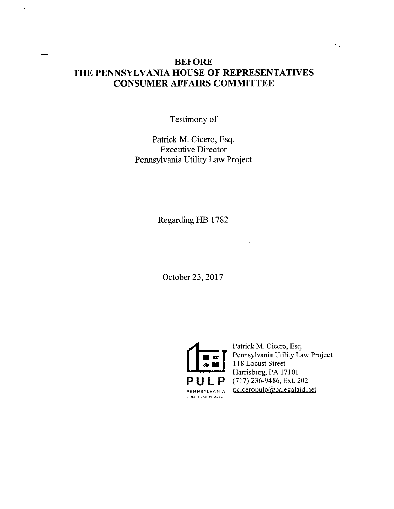## BEFORE THE PENNSYLVANIA HOUSE OF REPRESENTATIVES CONSUMER AFFAIRS COMMITTEE

Testimony of

Patrick M. Cicero, Esq. Executive Director Pennsylvania Utility Law Project

Regarding HB 1782

October 23, 2017



Patrick M. Cicero, Esq. Pennsylvania Utility Law Project 118 Locust Street Harrisburg, PA 17101 (71 7) 236-9486, Ext. 202  $p$ ciceropulp $\omega$ palegalaid.net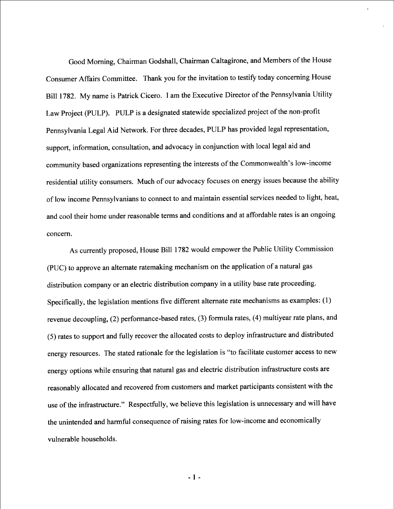Good Moming, Chairman Godshall, Chairman Caltagirone, and Members of the House Consumer Affairs Committee. Thank you for the invitation to testify today concerning House Bill 1782. My name is Patrick Cicero. I am the Executive Director of the Pennsylvania Utility Law Project (PULP). PULP is a designated statewide specialized project of the non-profit Pennsylvania Legal Aid Network. For three decades, PULP has provided legal representation, support, information, consultation, and advocacy in conjunction with local legal aid and community based organizations representing the interests of the Commonwealth's low-income residential utility consumers. Much of our advocacy focuses on energy issues because the ability of low income Pennsylvanians to connect to and maintain essential services needed to light, heat, and cool their home under reasonable terms and conditions and at affordable rates is an ongoing concem.

As currently proposed, House Bill 1782 would empower the Public Utility Commission (PUC) to approve an altemate ratemaking mechanism on the application of a natural gas distribution company or an electric distribution company in a utility base rate proceeding. Specifically, the legislation mentions five different altemate rate mechanisms as examples: (1) revenue decoupling, (2) performance-based rates, (3) formula rates, (4) multiyear rate plans, and (5) rates to support and fully recover the allocated costs to deploy infrastructure and distributed energy resources. The stated rationale for the legislation is "to facilitate customer access to new energy options while ensuring that natural gas and electric distribution infrastructure costs are reasonably allocated and recovered from customers and market participants consistent with the use of the infrastructure." Respectfully, we believe this legislation is unnecessary and will have the unintended and harmful consequence of raising rates for low-income and economically vulnerable households.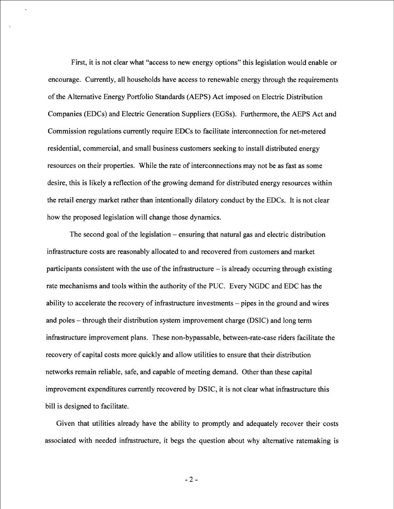First, it is not clear what "access to new energy options" this legislation would enable or encourage. Currently, all households have access to renewable energy through the requirements of the Alternative Energy Portfolio Standards (AEPS) Act imposed on Electric Distribution Companies (EDCs) and Electric Generation Suppliers (EGSs). Furthermore, the AEPS Act and Commission regulations currently require EDCs to facilitate interconnection for net-metered residential, commercial, and small business customers seeking to install distributed energy resources on their properties. While the rate of interconnections may not be as fast as some desire, this is likely a reflection of the growing demand for distributed energy resources within the retail energy market rather than intentionally dilatory conduct by the EDCs. It is not clear how the proposed legislation will change those dynamics.

The second goal of the legislation – ensuring that natural gas and electric distribution infrastructure costs are reasonably allocated to and recovered from customers and market participants consistent with the use of the infrastructure  $-\text{ is already occurring through existing}$ rate mechanisms and tools within the authority of the PUC. Every NGDC and EDC has the ability to accelerate the recovery of infrastructure investments  $-$  pipes in the ground and wires and poles – through their distribution system improvement charge (DSIC) and long term infrastructure improvement plans. These non-bypassable, between-rate-case riders facilitate the recovery of capital costs more quickly and allow utilities to ensure that their distribution networks remain reliable, safe, and capable of meeting demand. Other than these capital improvement expenditures currently recovered by DSIC, it is not clear what infrastructure this bill is designed to facilitate.

Given that utilities already have the ability to promptly and adequately recover their costs associated with needed infrastructure, it begs the question about why altemative ratemaking is

 $-2-$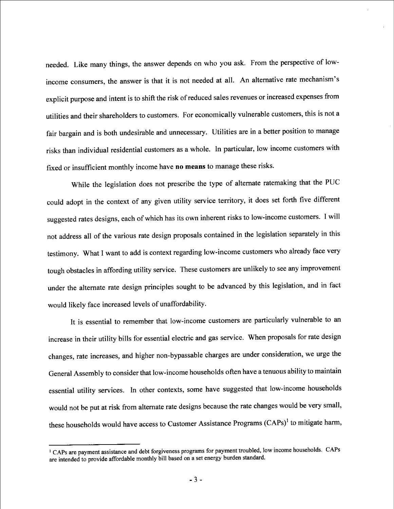needed. Like many things, the answer depends on who you ask. From the perspective of lowincome consumers, the answer is that it is not needed at all. An altemative rate mechanism's explicit purpose and intent is to shift the risk of reduced sales revenues or increased expenses from utilities and their shareholders to customers. For economically vulnerable customers, this is not a fair bargain and is both undesirable and unnecessary. Utilities are in a better position to manage risks than individual residential customers as a whole. In particular, low income customers with fixed or insufficient monthly income have no means to manage these risks.

While the legislation does not prescribe the type of alternate ratemaking that the PUC could adopt in the context of any given utility service territory, it does set forth five different suggested rates designs, each of which has its own inherent risks to low-income customers. I will not address all of the various rate design proposals contained in the legislation separately in this testimony. What I want to add is context regarding low-income customers who already face very tough obstacles in affording utility service. These customers are unlikely to see any improvement under the altemate rate design principles sought to be advanced by this legislation, and in fact would likely face increased levels of unaffordability.

It is essential to remember that low-income customers are particularly vulnerable to an increase in their utility bills for essential electric and gas service. When proposals for rate design changes, rate increases, and higher non-bypassable charges are under consideration, we urge the General Assembly to consider that low-income households often have a tenuous ability to maintain essential utility services. In other contexts, some have suggested that low-income households would not be put at risk from altemate rate designs because the rate changes would be very small, these households would have access to Customer Assistance Programs (CAPs)<sup>1</sup> to mitigate harm,

 $\Gamma$  CAPs are payment assistance and debt forgiveness programs for payment troubled, low income households. CAPs are intended to provide affordable monthly bill based on a set energy burden standard.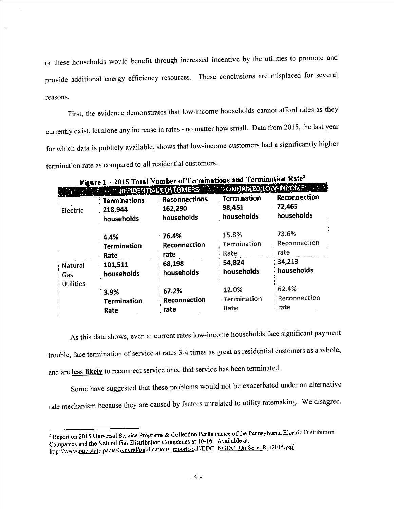or these households would benefit through increased incentive by the utilities to promote and provide additional energy efficiency resources. These conclusions are misplaced for several reasons.

J.

First, the evidence demonstrates that low-income households cannot afford rates as they currently exist, let alone any increase in rates - no matter how small. Data from 2015, the last year for which data is publicly available, shows that low-income customers had a significantly higher termination rate as compared to all residential customers.

| Figure 1<br><b>RESIDENTIAL CUSTOMERS</b> |                     |                      |                    | <b>CONFIRMED LOW-INCOME</b> |  |
|------------------------------------------|---------------------|----------------------|--------------------|-----------------------------|--|
|                                          | <b>Terminations</b> | <b>Reconnections</b> | <b>Termination</b> | Reconnection                |  |
| Electric                                 | 218,944             | 162,290              | 98,451             | 72,465                      |  |
|                                          | households          | households           | households         | households                  |  |
|                                          | 4.4%                | 76.4%                | 15.8%              | 73.6%                       |  |
|                                          | <b>Termination</b>  | Reconnection         | Termination        | Reconnection                |  |
|                                          | Rate                | rate                 | Rate               | rate                        |  |
| <b>Natural</b>                           | 101,511             | 68,198               | 54,824             | 34,213                      |  |
| : Gas                                    | households          | households           | households         | households                  |  |
| <b>Utilities</b>                         |                     |                      |                    |                             |  |
|                                          | 3.9%                | 67.2%                | 12.0%              | 62.4%                       |  |
|                                          | <b>Termination</b>  | Reconnection         | : Termination      | Reconnection                |  |
|                                          | Rate                | rate                 | Rate               | rate                        |  |

2015 Total Number of Terminations and Termination  $Rate^2$ Fi

As this data shows, even at current rates low-income households face significant payment trouble, face termination of service at rates 3-4 times as great as residential customers as a whole, and are less likely to reconnect service once that service has been terminated.

Some have suggested that these problems would not be exacerbated under an altemative rate mechanism because they are caused by factors unrelated to utility ratemaking. We disagree.

<sup>&</sup>lt;sup>2</sup> Report on 2015 Universal Service Programs & Collection Performance of the Pennsylvania Electric Distribution <sup>2</sup> Report on 2015 Universal Service Flograms & Concedent 1916. Available at:<br>Companies and the Natural Gas Distribution Companies at 10-16. Available at: Companies and the Natural Gas Distribution Companies at 10-10. Available at:<br>http://www.puc.state.pa.us/General/publications\_reports/pdf/EDC\_NGDC\_UniServ\_Rpt2015.pdf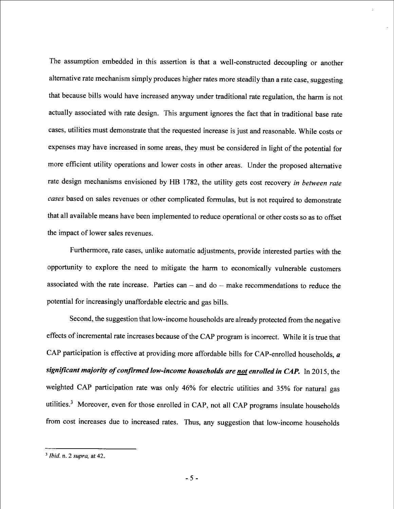The assumption embedded in this assertion is that a well-constructed decoupling or another altemative rate mechanism simply produces higher rates more steadily than a rate case, suggesting that because bills would have increased anyway under traditional rate regulation, the harm is not actually associated with rate design. This argument ignores the fact that in traditional base rate cases, utilities must demonstrate that the requested increase is just and reasonable. While costs or expenses may have increased in some areas, they must be considered in light of the potential for more efficient utility operations and lower costs in other areas. Under the proposed alternative rate design mechanisms envisioned by HB 1782, the utility gets cost recovery in between rate cases based on sales revenues or other complicated formulas, but is not required to demonstrate that all available means have been implemented to reduce operational or other costs so as to offset the impact of lower sales revenues.

Furthermore, rate cases, unlike automatic adjustments, provide interested parties with the opportunity to explore the need to mitigate the hama to economically vulnerable customers associated with the rate increase. Parties can  $-$  and do  $-$  make recommendations to reduce the potential for increasingly unaffordable electric and gas bills.

Second, the suggestion that low-income households are already protected from the negative effects of incremental rate increases because of the CAP program is incorrect. While it is true that CAP participation is effective at providing more affordable bills for CAP-enrolled households, a significant majority of confirmed low-income households are not enrolled in CAP. In 2015, the weighted CAP participation rate was only 46% for electric utilities and 35% for natural gas utilities.3 Moreover, even for those enrolled in CAP, not all CAP programs insulate households from cost increases due to increased rates. Thus, any suggestion that low-income households

 $3$  *lbid.* n. 2 supra, at 42.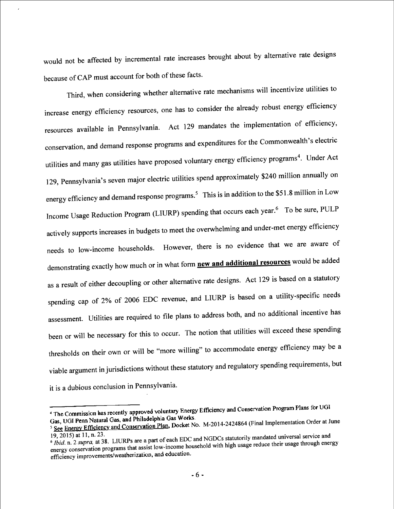would not be affected by incremental rate increases brought about by alternative rate designs because of CAP must account for both of these facts.

Third, when considering whether altemative rate mechanisms will incentivize utilities to increase energy efficiency resources, one has to consider the already robust energy efficiency resources available in Pennsylvania. Act 129 mandates the implementation of efficiency, conservation, and demand response programs and expenditures for the Commonwealth's electric utilities and many gas utilities have proposed voluntary energy efficiency programs<sup>4</sup>. Under Act 1 29, Pennsylvania 's seven major electric utilities spend approximately \$240 million annually on energy efficiency and demand response programs.<sup>5</sup> This is in addition to the \$51.8 million in Low Income Usage Reduction Program (LIURP) spending that occurs each year.<sup>6</sup> To be sure, PULP actively supports increases in budgets to meet the overwhelming and under-met energy efficiency needs to low-income households. However, there is no evidence that we are aware of demonstrating exactly how much or in what form **new and additional resources** would be added as a result of either decoupling or other alternative rate designs. Act 129 is based on a statutory spending cap of 2% of 2006 EDC revenue, and LIURP is based on a utility-specific needs assessment. Utilities are required to file plans to address both, and no additional incentive has been or will be necessary for this to occur. The notion that utilities will exceed these spending thresholds on their own or will be "more willing" to accommodate energy efficiency may be a viable argument in jurisdictions without these statutory and regulatory spending requirements, but it is a dubious conclusion in Pennsylvania.

<sup>&</sup>lt;sup>4</sup> The Commission has recently approved voluntary Energy Efficiency and Conservation Program Plans for UGI<br>Gas, UGI Penn Natural Gas, and Philadelphia Gas Works.

See Energy Efficiency and Conservation Plan, Docket No. M-2014-2424864 (Final Implementation Order at June

 $19, 2015$  at 11, n. 23.  $\frac{1}{9}$  Jbid. n. 2 supra, at 38. LIURPS are a part of each EDC and NGD state between reduce their usage through energy efficiency improvements/weatherization, and education. energy conservation programs und assist low-income household with high use of diversion.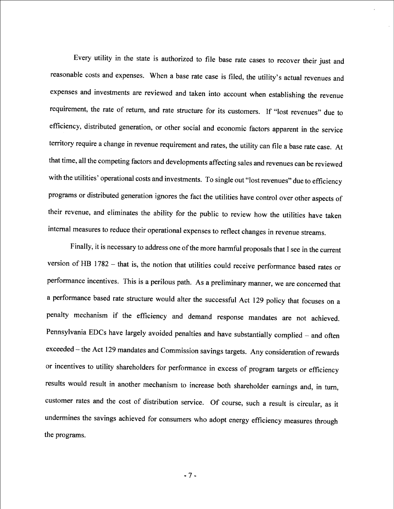Every utility in the state is authorized to file base rate cases to recover their just and reasonable costs and expenses. When a base rate case is filed, the utility's actual revenues and expenses and investments are reviewed and taken into account when establishing the revenue requirement, the rate of return, and rate structure for its customers. If "lost revenues" due to efficiency, distributed generation, or other social and economic factors apparent in the service territory require a change in revenue requirement and rates, the utility can file a base rate case. At that time, all the competing factors and developments affecting sales and revenues can be reviewed with the utilities' operational costs and investments. To single out "lost revenues" due to efficiency programs or distributed generation ignores the fact the utilities have control over other aspects of their revenue, and eliminates the ability for the public to review how the utilities have taken intema] measures to reduce their operational expenses to reflect changes in revenue streams.

Finally, it is necessary to address one of the more harmful proposals that I see in the current version of HB  $1782 -$  that is, the notion that utilities could receive performance based rates or performance incentives. This is a perilous path. As a preliminary manner, we are concemed that a performance based rate structure would alter the successful Act 129 policy that focuses on a penalty mechanism if the efficiency and demand response mandates are not achieved. Pennsylvania EDCs have largely avoided penalties and have substantially complied -- and often exceeded -- the Act 129 mandates and Commission savings targets. Any consideration of rewards or incentives to utility shareholders for performance in excess of program targets or efficiency results would result in another mechanism to increase both shareholder eamings and, in tum, customer rates and the cost of distribution service. Of course, such a result is circular, as it undermines the savings achieved for consumers who adopt energy efficiency measures through the programs.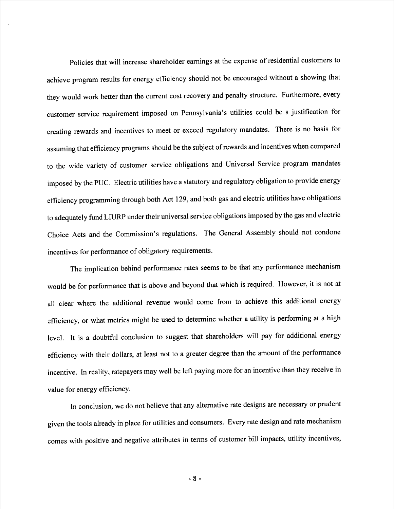Policies that will increase shareholder eamings at the expense of residential customers to achieve program results for energy efficiency should not be encouraged without a showing that they would work better than the current cost recovery and penalty structure. Furthermore, every customer service requirement imposed on Pennsylvania's utilities could be a justification for creating rewards and incentives to meet or exceed regulatory mandates. There is no basis for assuming that efficiency programs should be the subject of rewards and incentives when compared to the wide variety of customer service obligations and Universal Service program mandates imposed by the PUC. Electric utilities have a statutory and regulatory obligation to provide energy efficiency programming through both Act 129, and both gas and electric utilities have obligations to adequately fund LIURP under their universal service obligations imposed by the gas and electric Choice Acts and the Commission's regulations. The General Assembly should not condone incentives for performance of obligatory requirements.

The implication behind performance rates seems to be that any performance mechanism would be for performance that is above and beyond that which is required. However, it is not at all clear where the additional revenue would come from to achieve this additional energy efficiency, or what metrics might be used to determine whether a utility is performing at a high level. It is a doubtful conclusion to suggest that shareholders will pay for additional energy efficiency with their dollars, at least not to a greater degree than the amount of the performance incentive. In reality, ratepayers may well be leh paying more for an incentive than they receive in value for energy efficiency.

In conclusion, we do not believe that any altemative rate designs are necessary or prudent given the tools already in place for utilities and consumers. Every rate design and rate mechanism comes with positive and negative attributes in terms of customer bill impacts, utility incentives,

 $-8-$